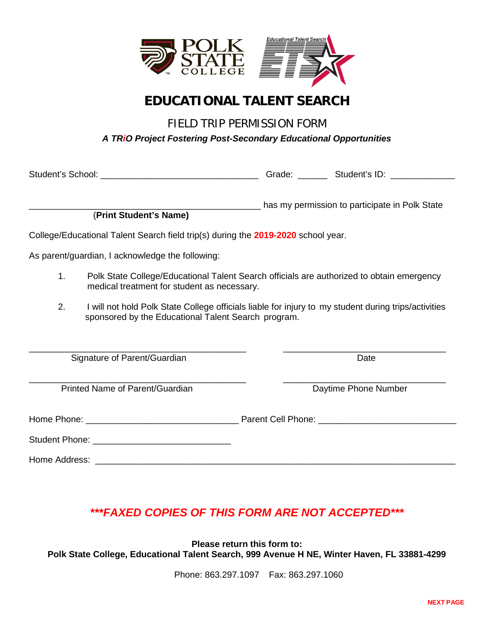

# **EDUCATIONAL TALENT SEARCH**

FIELD TRIP PERMISSION FORM

*A TRiO Project Fostering Post-Secondary Educational Opportunities*

|                                                                                   |                                                                                                                                                             |  | Grade: _________ Student's ID: ______________  |  |  |
|-----------------------------------------------------------------------------------|-------------------------------------------------------------------------------------------------------------------------------------------------------------|--|------------------------------------------------|--|--|
|                                                                                   | (Print Student's Name)                                                                                                                                      |  | has my permission to participate in Polk State |  |  |
| College/Educational Talent Search field trip(s) during the 2019-2020 school year. |                                                                                                                                                             |  |                                                |  |  |
| As parent/guardian, I acknowledge the following:                                  |                                                                                                                                                             |  |                                                |  |  |
| 1.                                                                                | Polk State College/Educational Talent Search officials are authorized to obtain emergency<br>medical treatment for student as necessary.                    |  |                                                |  |  |
| 2.                                                                                | I will not hold Polk State College officials liable for injury to my student during trips/activities<br>sponsored by the Educational Talent Search program. |  |                                                |  |  |
| Signature of Parent/Guardian                                                      |                                                                                                                                                             |  | Date                                           |  |  |
| Printed Name of Parent/Guardian                                                   |                                                                                                                                                             |  | Daytime Phone Number                           |  |  |
|                                                                                   |                                                                                                                                                             |  |                                                |  |  |
|                                                                                   |                                                                                                                                                             |  |                                                |  |  |
|                                                                                   |                                                                                                                                                             |  |                                                |  |  |

## *\*\*\*FAXED COPIES OF THIS FORM ARE NOT ACCEPTED\*\*\**

**Please return this form to: Polk State College, Educational Talent Search, 999 Avenue H NE, Winter Haven, FL 33881-4299**

Phone: 863.297.1097 Fax: 863.297.1060